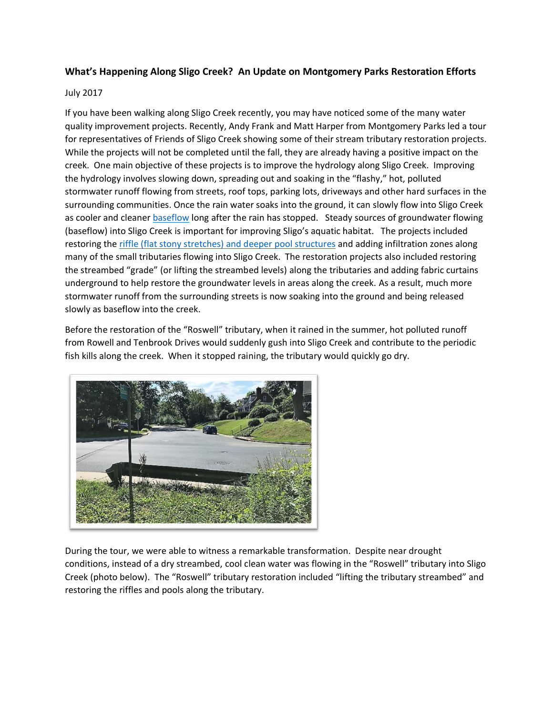## **What's Happening Along Sligo Creek? An Update on Montgomery Parks Restoration Efforts**

## July 2017

If you have been walking along Sligo Creek recently, you may have noticed some of the many water quality improvement projects. Recently, Andy Frank and Matt Harper from Montgomery Parks led a tour for representatives of Friends of Sligo Creek showing some of their stream tributary restoration projects. While the projects will not be completed until the fall, they are already having a positive impact on the creek. One main objective of these projects is to improve the hydrology along Sligo Creek. Improving the hydrology involves slowing down, spreading out and soaking in the "flashy," hot, polluted stormwater runoff flowing from streets, roof tops, parking lots, driveways and other hard surfaces in the surrounding communities. Once the rain water soaks into the ground, it can slowly flow into Sligo Creek as cooler and cleaner [baseflow](https://en.wikipedia.org/wiki/Baseflow) long after the rain has stopped. Steady sources of groundwater flowing (baseflow) into Sligo Creek is important for improving Sligo's aquatic habitat. The projects included restoring the [riffle \(flat stony stretches\) and deeper pool structures](https://en.wikipedia.org/wiki/Riffle-pool_sequence) and adding infiltration zones along many of the small tributaries flowing into Sligo Creek. The restoration projects also included restoring the streambed "grade" (or lifting the streambed levels) along the tributaries and adding fabric curtains underground to help restore the groundwater levels in areas along the creek. As a result, much more stormwater runoff from the surrounding streets is now soaking into the ground and being released slowly as baseflow into the creek.

Before the restoration of the "Roswell" tributary, when it rained in the summer, hot polluted runoff from Rowell and Tenbrook Drives would suddenly gush into Sligo Creek and contribute to the periodic fish kills along the creek. When it stopped raining, the tributary would quickly go dry.



During the tour, we were able to witness a remarkable transformation. Despite near drought conditions, instead of a dry streambed, cool clean water was flowing in the "Roswell" tributary into Sligo Creek (photo below). The "Roswell" tributary restoration included "lifting the tributary streambed" and restoring the riffles and pools along the tributary.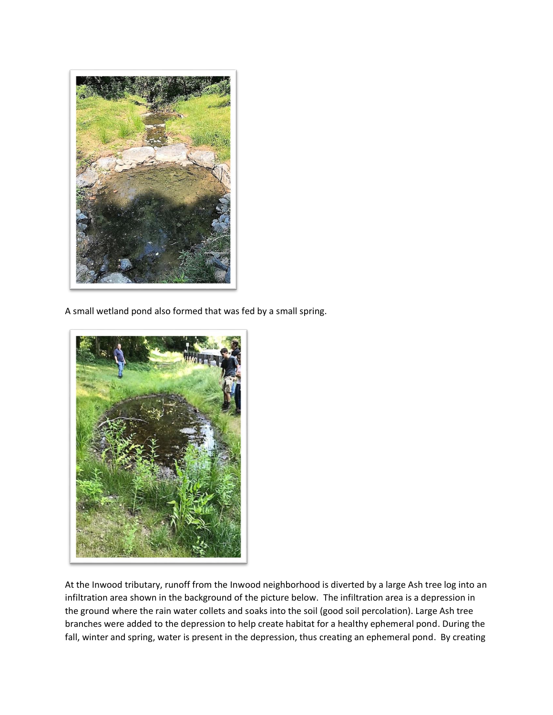

A small wetland pond also formed that was fed by a small spring.



At the Inwood tributary, runoff from the Inwood neighborhood is diverted by a large Ash tree log into an infiltration area shown in the background of the picture below. The infiltration area is a depression in the ground where the rain water collets and soaks into the soil (good soil percolation). Large Ash tree branches were added to the depression to help create habitat for a healthy ephemeral pond. During the fall, winter and spring, water is present in the depression, thus creating an ephemeral pond. By creating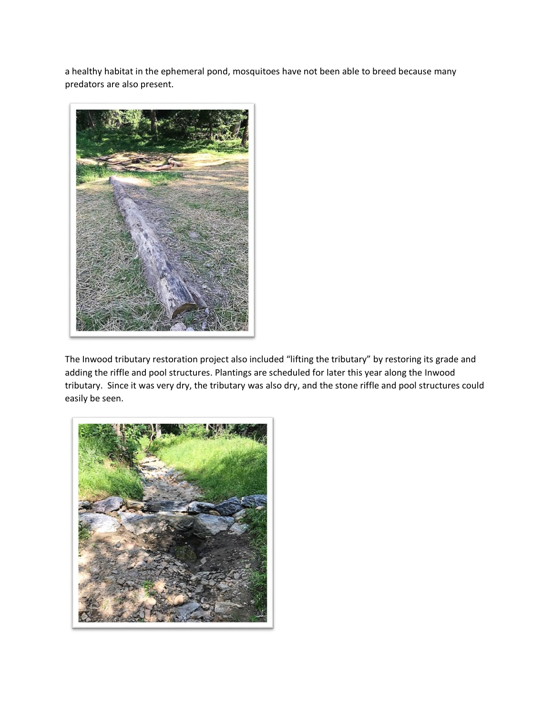a healthy habitat in the ephemeral pond, mosquitoes have not been able to breed because many predators are also present.



The Inwood tributary restoration project also included "lifting the tributary" by restoring its grade and adding the riffle and pool structures. Plantings are scheduled for later this year along the Inwood tributary. Since it was very dry, the tributary was also dry, and the stone riffle and pool structures could easily be seen.